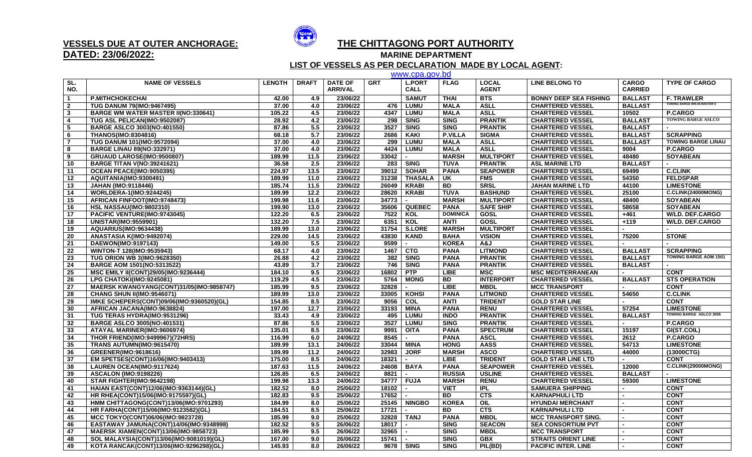

## **DATED: 23/06/2022:**

## **VESSELS DUE AT OUTER ANCHORAGE: THE CHITTAGONG PORT AUTHORITY**

**MARINE DEPARTMENT** 

 **LIST OF VESSELS AS PER DECLARATION MADE BY LOCAL AGENT:** www.cpa.gov.bd

|                         |                                             |               |                  |                                  |            | www.cpa.gov.pd               |                 |                              |                               |                                |                                    |
|-------------------------|---------------------------------------------|---------------|------------------|----------------------------------|------------|------------------------------|-----------------|------------------------------|-------------------------------|--------------------------------|------------------------------------|
| SL.<br>NO.              | <b>NAME OF VESSELS</b>                      | <b>LENGTH</b> | <b>DRAFT</b>     | <b>DATE OF</b><br><b>ARRIVAL</b> | <b>GRT</b> | <b>L.PORT</b><br><b>CALL</b> | <b>FLAG</b>     | <b>LOCAL</b><br><b>AGENT</b> | <b>LINE BELONG TO</b>         | <b>CARGO</b><br><b>CARRIED</b> | <b>TYPE OF CARGO</b>               |
| $\overline{1}$          | <b>P.MITHCHOKECHAI</b>                      | 42.00         | 4.9              | 23/06/22                         |            | <b>SAMUT</b>                 | <b>THAI</b>     | <b>BTS</b>                   | <b>BONNY DEEP SEA FISHING</b> | <b>BALLAST</b>                 | <b>F. TRAWLER</b>                  |
| $\overline{\mathbf{2}}$ | <b>TUG DANUM 79(IMO:9467495)</b>            | 37.00         | 4.0              | 23/06/22                         | 476        | <b>LUMU</b>                  | <b>MALA</b>     | <b>ASLL</b>                  | <b>CHARTERED VESSEL</b>       | <b>BALLAST</b>                 | <b>TOWING BARGE WM.W.MASTER II</b> |
| $\overline{\mathbf{3}}$ | <b>BARGE WM WATER MASTER II(NO:330641)</b>  | 105.22        | 4.5              | 23/06/22                         | 4347       | <b>LUMU</b>                  | <b>MALA</b>     | <b>ASLL</b>                  | <b>CHARTERED VESSEL</b>       | 10502                          | P.CARGO                            |
| 4                       | TUG ASL PELICAN(IMO:9502087)                | 28.92         | 4.2              | 23/06/22                         | 298        | <b>SING</b>                  | <b>SING</b>     | <b>PRANTIK</b>               | <b>CHARTERED VESSEL</b>       | <b>BALLAST</b>                 | <b>TOWING BARGE ASLCO</b>          |
| -5                      | <b>BARGE ASLCO 3003(NO:401550)</b>          | 87.86         | 5.5              | 23/06/22                         | 3527       | <b>SING</b>                  | <b>SING</b>     | <b>PRANTIK</b>               | <b>CHARTERED VESSEL</b>       | <b>BALLAST</b>                 |                                    |
| - 6                     | <b>THANOS(IMO:8304816)</b>                  | 68.18         | 5.7              | 23/06/22                         | 2686       | <b>KAKI</b>                  | <b>P.VILLA</b>  | <b>SIGMA</b>                 | <b>CHARTERED VESSEL</b>       | <b>BALLAST</b>                 | <b>SCRAPPING</b>                   |
| $\overline{7}$          | <b>TUG DANUM 101(IMO:9572094)</b>           | 37.00         | 4.0              | 23/06/22                         | 299        | <b>LUMU</b>                  | <b>MALA</b>     | <b>ASLL</b>                  | <b>CHARTERED VESSEL</b>       | <b>BALLAST</b>                 | <b>TOWING BARGE LINAU</b>          |
| 8                       | <b>BARGE LINAU 89(NO:332971)</b>            | 37.00         | 4.0              | 23/06/22                         | 4424       | <b>LUMU</b>                  | <b>MALA</b>     | <b>ASLL</b>                  | <b>CHARTERED VESSEL</b>       | 9004                           | P.CARGO                            |
| 9                       | GRUAUD LAROSE(IMO:9500807)                  | 189.99        | 11.5             | 23/06/22                         | 33042      |                              | <b>MARSH</b>    | <b>MULTIPORT</b>             | <b>CHARTERED VESSEL</b>       | 48480                          | <b>SOYABEAN</b>                    |
| 10                      | <b>BARGE TITAN V(NO:39241621)</b>           | 36.58         | 2.5              | 23/06/22                         | 283        | <b>SING</b>                  | <b>TUVA</b>     | <b>PRANTIK</b>               | <b>ASL MARINE LTD</b>         | <b>BALLAST</b>                 |                                    |
| 11                      | OCEAN PEACE(IMO:9050395)                    | 224.97        | 13.5             | 23/06/22                         | 39012      | <b>SOHAR</b>                 | <b>PANA</b>     | <b>SEAPOWER</b>              | <b>CHARTERED VESSEL</b>       | 69499                          | <b>C.CLINK</b>                     |
| 12                      | AQUITANIA(IMO:9300491)                      | 189.99        | 11.0             | 23/06/22                         | 31238      | <b>THASALA</b>               | UK              | <b>FMS</b>                   | <b>CHARTERED VESSEL</b>       | 54350                          | <b>FELDSPAR</b>                    |
| 13                      | <b>JAHAN (IMO:9118446)</b>                  | 185.74        | 11.5             | 23/06/22                         | 26049      | <b>KRABI</b>                 | <b>BD</b>       | <b>SRSL</b>                  | <b>JAHAN MARINE LTD</b>       | 44100                          | <b>LIMESTONE</b>                   |
| 14                      | <b>WORLDERA-1(IMO:9244245)</b>              | 189.99        | 12.2             | 23/06/22                         | 28620      | <b>KRABI</b>                 | <b>TUVA</b>     | <b>BASHUND</b>               | <b>CHARTERED VESSEL</b>       | 25100                          | C.CLINK(24000MONG)                 |
| 15                      | AFRICAN FINFOOT(IMO:9748473)                | 199.98        | 11.6             | 23/06/22                         | 34773      | $\blacksquare$               | <b>MARSH</b>    | <b>MULTIPORT</b>             | <b>CHARTERED VESSEL</b>       | 48400                          | <b>SOYABEAN</b>                    |
| 16                      | <b>HSL NASSAU(IMO:9802310)</b>              | 199.90        | 13.0             | 23/06/22                         | 35606      | <b>QUEBEC</b>                | <b>PANA</b>     | <b>SAFE SHIP</b>             | <b>CHARTERED VESSEL</b>       | 58658                          | <b>SOYABEAN</b>                    |
| 17                      | PACIFIC VENTURE(IMO:9743045)                | 122.20        | 6.5              | 23/06/22                         | 7522       | KOL                          | <b>DOMINICA</b> | GOSL                         | <b>CHARTERED VESSEL</b>       | $+461$                         | <b>W/LD. DEF.CARGO</b>             |
| 18                      | <b>UNISTAR(IMO:9559901)</b>                 | 132.20        | 7.5              | 23/06/22                         | 6351       | KOL                          | <b>ANTI</b>     | GOSL                         | <b>CHARTERED VESSEL</b>       | $+119$                         | <b>W/LD. DEF.CARGO</b>             |
| 19                      | AQUARIUS(IMO:9634438)                       | 189.99        | 13.0             | 23/06/22                         | 31754      | <b>S.LORE</b>                | <b>MARSH</b>    | <b>MULTIPORT</b>             | <b>CHARTERED VESSEL</b>       |                                |                                    |
| 20                      | ANASTASIA K(IMO:9492074)                    | 229.00        | 14.5             | 23/06/22                         | 43830      | <b>KAND</b>                  | <b>BAHA</b>     | <b>VISION</b>                | <b>CHARTERED VESSEL</b>       | 75200                          | <b>STONE</b>                       |
| 21                      | DAEWON(IMO:9197143)                         | 149.00        | $\overline{5.5}$ | 23/06/22                         | 9599       |                              | <b>KOREA</b>    | L&A                          | <b>CHARTERED VESSEL</b>       |                                |                                    |
| 22                      | WINTON-T 128(IMO:9535943)                   | 68.17         | 4.0              | 23/06/22                         | 1467       | <b>CTG</b>                   | <b>PANA</b>     | <b>LITMOND</b>               | <b>CHARTERED VESSEL</b>       | <b>BALLAST</b>                 | <b>SCRAPPING</b>                   |
| 23                      | <b>TUG ORION WB 3(IMO:9628350)</b>          | 26.88         | 4.2              | 23/06/22                         | 382        | <b>SING</b>                  | <b>PANA</b>     | <b>PRANTIK</b>               | <b>CHARTERED VESSEL</b>       | <b>BALLAST</b>                 | <b>TOWING BARGE AOM 1501</b>       |
| 24                      | <b>BARGE AOM 1501(NO:5313522)</b>           | 43.89         | 3.7              | 23/06/22                         | 746        | <b>SING</b>                  | <b>PANA</b>     | <b>PRANTIK</b>               | <b>CHARTERED VESSEL</b>       | <b>BALLAST</b>                 |                                    |
| 25                      | <b>MSC EMILY II(CONT)29/05(IMO:9236444)</b> | 184.10        | 9.5              | 23/06/22                         | 16802      | <b>PTP</b>                   | <b>LIBE</b>     | <b>MSC</b>                   | <b>MSC MEDITERRANEAN</b>      |                                | <b>CONT</b>                        |
| 26                      | LPG CHATOKI(IMO:9245081)                    | 119.29        | 4.5              | 23/06/22                         | 5764       | <b>MONG</b>                  | <b>BD</b>       | <b>INTERPORT</b>             | <b>CHARTERED VESSEL</b>       | <b>BALLAST</b>                 | <b>STS OPERATION</b>               |
| 27                      | MAERSK KWANGYANG(CONT)31/05(IMO:9858747)    | 185.99        | 9.5              | 23/06/22                         | 32828      | $\blacksquare$               | <b>LIBE</b>     | <b>MBDL</b>                  | <b>MCC TRANSPORT</b>          |                                | <b>CONT</b>                        |
| 28                      | <b>CHANG SHUN II(IMO:9546071)</b>           | 189.99        | 13.0             | 23/06/22                         | 33005      | <b>KOHSI</b>                 | <b>PANA</b>     | <b>LITMOND</b>               | <b>CHARTERED VESSEL</b>       | 54650                          | <b>C.CLINK</b>                     |
| 29                      | IMKE SCHEPERS(CONT)09/06(IMO:9360520)(GL)   | 154.85        | 8.5              | 23/06/22                         | 9056       | <b>COL</b>                   | <b>ANTI</b>     | <b>TRIDENT</b>               | <b>GOLD STAR LINE</b>         |                                | <b>CONT</b>                        |
| 30                      | AFRICAN JACANA(IMO:9638824)                 | 197.00        | 12.7             | 23/06/22                         | 33193      | <b>MINA</b>                  | <b>PANA</b>     | <b>RENU</b>                  | <b>CHARTERED VESSEL</b>       | 57254                          | <b>LIMESTONE</b>                   |
| 31                      | TUG TERAS HYDRA(IMO:9531296)                | 33.43         | 4.9              | 23/06/22                         | 495        | <b>LUMU</b>                  | <b>INDO</b>     | <b>PRANTIK</b>               | <b>CHARTERED VESSEL</b>       | <b>BALLAST</b>                 | <b>TOWING BARGE ASLCO 3005</b>     |
| 32                      | <b>BARGE ASLCO 3005(NO:401531)</b>          | 87.86         | 5.5              | 23/06/22                         | 3527       | <b>LUMU</b>                  | <b>SING</b>     | <b>PRANTIK</b>               | <b>CHARTERED VESSEL</b>       | $\blacksquare$                 | P.CARGO                            |
| 33                      | ATAYAL MARINER(IMO:9606974)                 | 135.01        | 8.5              | 23/06/22                         | 9991       | <b>OITA</b>                  | <b>PANA</b>     | <b>SPECTRUM</b>              | <b>CHARTERED VESSEL</b>       | 15197                          | GI(ST.COIL)                        |
| 34                      | <b>THOR FRIEND(IMO:9499967)(72HRS)</b>      | 116.99        | 6.0              | 24/06/22                         | 8545       | $\sim$                       | <b>PANA</b>     | <b>ASCL</b>                  | <b>CHARTERED VESSEL</b>       | 2612                           | P.CARGO                            |
| 35                      | TRANS AUTUMN(IMO:9615470)                   | 189.99        | 13.1             | 24/06/22                         | 33044 MINA |                              | <b>HONG</b>     | <b>AASS</b>                  | <b>CHARTERED VESSEL</b>       | 54713                          | <b>LIMESTONE</b>                   |
| 36                      | GREENER(IMO:9618616)                        | 189.99        | 11.2             | 24/06/22                         | 32983      | <b>JORF</b>                  | <b>MARSH</b>    | <b>ASCO</b>                  | <b>CHARTERED VESSEL</b>       | 44000                          | (13000CTG)                         |
| 37                      | EM SPETSES(CONT)16/06(IMO:9403413)          | 175.00        | 8.5              | 24/06/22                         | 18321      |                              | <b>LIBE</b>     | <b>TRIDENT</b>               | <b>GOLD STAR LINE LTD</b>     |                                | <b>CONT</b>                        |
| 38                      | LAUREN OCEAN(IMO:9117624)                   | 187.63        | 11.5             | 24/06/22                         | 24608      | <b>BAYA</b>                  | <b>PANA</b>     | <b>SEAPOWER</b>              | <b>CHARTERED VESSEL</b>       | 12000                          | C.CLINK(29000MONG)                 |
| 39                      | <b>ASCALON (IMO:9198226)</b>                | 126.85        | 6.5              | 24/06/22                         | 8821       |                              | <b>RUSSIA</b>   | <b>USLINE</b>                | <b>CHARTERED VESSEL</b>       | <b>BALLAST</b>                 |                                    |
| 40                      | STAR FIGHTER(IMO:9642198)                   | 199.98        | 13.3             | 24/06/22                         | 34777      | <b>FUJA</b>                  | <b>MARSH</b>    | <b>RENU</b>                  | <b>CHARTERED VESSEL</b>       | 59300                          | <b>LIMESTONE</b>                   |
| 41                      | HAIAN EAST(CONT)12/06(IMO:9363144)(GL)      | 182.52        | 8.0              | 25/06/22                         | 18102      |                              | <b>VIET</b>     | <b>IPL</b>                   | <b>SAMUERA SHIPPING</b>       |                                | <b>CONT</b>                        |
| 42                      | HR RHEA(CONT)15/06(IMO:9175597)(GL)         | 182.83        | 9.5              | 25/06/22                         | 17652      | $\blacksquare$               | <b>BD</b>       | <b>CTS</b>                   | <b>KARNAPHULI LTD</b>         | $\blacksquare$                 | <b>CONT</b>                        |
| 43                      | HMM CHITTAGONG(CONT)13/06(IMO:9701293)      | 184.99        | 8.0              | 25/06/22                         |            | 25145   NINGBO               | <b>KOREA</b>    | OIL                          | <b>HYUNDAI MERCHANT</b>       |                                | <b>CONT</b>                        |
| 44                      | HR FARHA(CONT)15/06(IMO:9123582)(GL)        | 184.51        | 8.5              | 25/06/22                         | 17721      |                              | <b>BD</b>       | CTS                          | <b>KARNAPHULI LTD</b>         |                                | <b>CONT</b>                        |
| 45                      | MCC TOKYO(CONT)06/06(IMO:9823728)           | 185.99        | 9.0              | 25/06/22                         | 32828      | <b>TANJ</b>                  | <b>PANA</b>     | <b>MBDL</b>                  | <b>MCC TRANSPORT SING.</b>    |                                | <b>CONT</b>                        |
| 46                      | EASTAWAY JAMUNA(CONT)14/06(IMO:9348998)     | 182.52        | 9.5              | 26/06/22                         | 18017      |                              | <b>SING</b>     | <b>SEACON</b>                | <b>SEA CONSORTIUM PVT</b>     |                                | <b>CONT</b>                        |
| 47                      | MAERSK XIAMEN(CONT)13/06(IMO:9858723)       | 185.99        | 9.5              | 26/06/22                         | 32965      |                              | <b>SING</b>     | <b>MBDL</b>                  | <b>MCC TRANSPORT</b>          |                                | <b>CONT</b>                        |
| 48                      | SOL MALAYSIA(CONT)13/06(IMO:9081019)(GL)    | 167.00        | 9.0              | 26/06/22                         | 15741      |                              | <b>SING</b>     | <b>GBX</b>                   | <b>STRAITS ORIENT LINE</b>    |                                | <b>CONT</b>                        |
| 49                      | KOTA RANCAK(CONT)13/06(IMO:9296298)(GL)     | 145.93        | 8.0              | 26/06/22                         |            | 9678 SING                    | <b>SING</b>     | PIL(BD)                      | <b>PACIFIC INTER, LINE</b>    | $\overline{a}$                 | <b>CONT</b>                        |
|                         |                                             |               |                  |                                  |            |                              |                 |                              |                               |                                |                                    |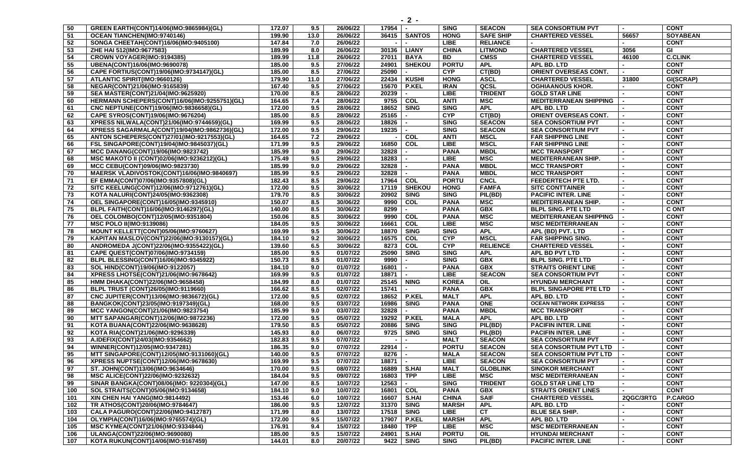| 50       | GREEN EARTH(CONT)14/06(IMO:9865984)(GL)                               | 172.07           | 9.5        | 26/06/22             | 17954                                | <b>SING</b>  | <b>SEACON</b>                 | <b>SEA CONSORTIUM PVT</b>     |                | <b>CONT</b>                   |
|----------|-----------------------------------------------------------------------|------------------|------------|----------------------|--------------------------------------|--------------|-------------------------------|-------------------------------|----------------|-------------------------------|
| 51       | OCEAN TIANCHEN(IMO:9740146)                                           | 199.90           | 13.0       | 26/06/22             | 36415   SANTOS                       | <b>HONG</b>  | <b>SAFE SHIP</b>              | <b>CHARTERED VESSEL</b>       | 56657          | <b>SOYABEAN</b>               |
| 52       | SONGA CHEETAH(CONT)16/06(IMO:9405100)                                 | 147.84           | 7.0        | 26/06/22             |                                      | <b>LIBE</b>  | <b>RELIANCE</b>               |                               |                | <b>CONT</b>                   |
| 53       | ZHE HAI 512(IMO:9677583)                                              | 189.99           | 8.0        | 26/06/22             | <b>LIANY</b><br>30136                | <b>CHINA</b> | <b>LITMOND</b>                | <b>CHARTERED VESSEL</b>       | 3056           | GI                            |
| 54       | CROWN VOYAGER(IMO:9194385)                                            | 189.99           | 11.8       | 26/06/22             | 27011<br><b>BAYA</b>                 | <b>BD</b>    | <b>CMSS</b>                   | <b>CHARTERED VESSEL</b>       | 46100          | <b>C.CLINK</b>                |
| 55       | UBENA(CONT)16/06(IMO:9690078)                                         | 185.00           | 9.5        | 27/06/22             | 24901<br><b>SHEKOU</b>               | <b>PORTU</b> | <b>APL</b>                    | APL BD. LTD                   |                | <b>CONT</b>                   |
| 56       | CAPE FORTIUS(CONT)19/06(IMO:9734147)(GL)                              | 185.00           | 8.5        | 27/06/22             | 25090                                | <b>CYP</b>   | CT(BD)                        | ORIENT OVERSEAS CONT.         |                | <b>CONT</b>                   |
| 57       | ATLANTIC SPIRIT(IMO:9660126)                                          | 179.90           | 11.0       | 27/06/22             | 22434<br><b>KUSHI</b>                | <b>HONG</b>  | <b>ASCL</b>                   | <b>CHARTERED VESSEL</b>       | 31800          | GI(SCRAP)                     |
| 58       | NEGAR(CONT)21/06(IMO:9165839)                                         | 167.40           | 9.5        | 27/06/22             | 15670<br><b>P.KEL</b>                | <b>IRAN</b>  | QCSL                          | <b>OGHIAANOUS KHOR.</b>       |                | <b>CONT</b>                   |
| 59       | SEA MASTER(CONT)21/04(IMO:9625920)                                    | 170.00           | 8.5        | 28/06/22             | 20239                                | <b>LIBE</b>  | <b>TRIDENT</b>                | <b>GOLD STAR LINE</b>         |                | <b>CONT</b>                   |
| 60       | HERMANN SCHEPERS(CONT)16/06(IMO:9255751)(GL)                          | 164.65           | 7.4        | 28/06/22             | 9755<br><b>COL</b>                   | <b>ANTI</b>  | <b>MSC</b>                    | <b>MEDITERRANEAN SHIPPING</b> |                | <b>CONT</b>                   |
| 61       | CNC NEPTUNE(CONT)19/06(IMO:9836658)(GL)                               | 172.00           | 9.5        | 28/06/22             | 18652<br><b>SING</b>                 | <b>SING</b>  | <b>APL</b>                    | APL BD. LTD                   |                | <b>CONT</b>                   |
| 62       | CAPE SYROS(CONT)19/06(IMO:9676204)                                    | 185.00           | 8.5        | 28/06/22             | 25165                                | <b>CYP</b>   | CT(BD)                        | <b>ORIENT OVERSEAS CONT.</b>  |                | <b>CONT</b>                   |
| 63       | XPRESS NILWALA(CONT)21/06(IMO:9744659)(GL)                            | 169.99           | 9.5        | 28/06/22             | 18826                                | <b>SING</b>  | <b>SEACON</b>                 | <b>SEA CONSORTIUM PVT</b>     |                | <b>CONT</b>                   |
| 64       | XPRESS SAGARMALA(CONT)19/04(IMO:9862736)(GL)                          | 172.00           | 9.5        | 29/06/22             | 19235                                | <b>SING</b>  | <b>SEACON</b>                 | <b>SEA CONSORTIUM PVT</b>     |                | <b>CONT</b>                   |
| 65       | ANTON SCHEPERS(CONT)27/01(IMO:9217553)(GL)                            | 164.65           | 7.2        | 29/06/22             | <b>COL</b>                           | <b>ANTI</b>  | <b>MSCL</b>                   | <b>FAR SHIPPING LINE</b>      |                | <b>CONT</b>                   |
| 66       | FSL SINGAPORE(CONT)19/04(IMO:9845037)(GL)                             | 171.99           | 9.5        | 29/06/22             | $\overline{COL}$<br>16850            | <b>LIBE</b>  | <b>MSCL</b>                   | <b>FAR SHIPPING LINE</b>      |                | <b>CONT</b>                   |
| 67       | MCC DANANG(CONT)19/06(IMO:9823742)                                    | 185.99           | 9.0        | 29/06/22             | 32828                                | <b>PANA</b>  | <b>MBDL</b>                   | <b>MCC TRANSPORT</b>          |                | <b>CONT</b>                   |
| 68       | MSC MAKOTO II (CONT)02/06(IMO:9236212)(GL)                            | 175.49           | 9.5        | 29/06/22             | 18283                                | <b>LIBE</b>  | <b>MSC</b>                    | <b>MEDITERRANEAN SHIP.</b>    |                | <b>CONT</b>                   |
| 69       | MCC CEBU(CONT)09/06(IMO:9823730)                                      | 185.99           | 9.0        | 29/06/22             | 32828                                | <b>PANA</b>  | <b>MBDL</b>                   | <b>MCC TRANSPORT</b>          |                | <b>CONT</b>                   |
| 70       | MAERSK VLADIVOSTOK(CONT)16/06(IMO:9840697)                            | 185.99           | 9.5        | 29/06/22             | 32828                                | <b>PANA</b>  | <b>MBDL</b>                   | <b>MCC TRANSPORT</b>          |                | <b>CONT</b>                   |
| 71       | EF EMMA(CONT)07/06(IMO:9357808)(GL)                                   | 182.43           | 8.5        | 29/06/22             | 17964 COL                            | <b>PORTU</b> | <b>CNCL</b>                   | <b>FEEDERTECH PTE LTD.</b>    |                | <b>CONT</b>                   |
| 72       | SITC KEELUNG(CONT)12/06(IMO:9712761)(GL)                              | 172.00           | 9.5        | 30/06/22             | <b>SHEKOU</b><br>17119               | <b>HONG</b>  | <b>FAMFA</b>                  | <b>SITC CONTTAINER</b>        |                | <b>CONT</b>                   |
| 73       | KOTA NALURI(CONT)24/05(IMO:9362308)                                   | 179.70           | 8.5        | 30/06/22             | 20902<br><b>SING</b>                 | <b>SING</b>  | PIL(BD)                       | <b>PACIFIC INTER. LINE</b>    |                | <b>CONT</b>                   |
| 74       | OEL SINGAPORE(CONT)16/05(IMO:9345910)                                 | 150.07           | 8.5        | 30/06/22             | 9990<br><b>COL</b>                   | <b>PANA</b>  | <b>MSC</b>                    | <b>MEDITERRANEAN SHIP.</b>    |                | <b>CONT</b>                   |
| 75       | BLPL FAITH(CONT)16/06(IMO:9146297)(GL)                                | 140.00           | 8.5        | 30/06/22             | 8299                                 | <b>PANA</b>  | <b>GBX</b>                    | <b>BLPL SING. PTE LTD</b>     |                | <b>CONT</b>                   |
| 76       | OEL COLOMBO(CONT)12/05(IMO:9351804)                                   | 150.06           | 8.5        | 30/06/22             | 9990<br>COL                          | <b>PANA</b>  | <b>MSC</b>                    | <b>MEDITERRANEAN SHIPPING</b> |                | <b>CONT</b>                   |
| 77       | <b>MSC POLO II(IMO:9139086)</b>                                       | 184.05           | 9.5        | 30/06/22             | 16661<br>COL                         | <b>LIBE</b>  | <b>MSC</b>                    | <b>MSC MEDITERRANEAN</b>      |                | <b>CONT</b>                   |
| 78       | MOUNT KELLETT(CONT)05/06(IMO:9760627)                                 | 169.99           | 9.5        | 30/06/22             | 18870<br><b>SING</b>                 | <b>SING</b>  | <b>APL</b>                    | APL (BD) PVT. LTD             |                | <b>CONT</b>                   |
| 79       | KAPITAN MASLOV(CONT)22/06(IMO:9130157)(GL)                            | 184.10           | 9.2        | 30/06/22             | COL<br>16575                         | <b>CYP</b>   | <b>MSCL</b>                   | <b>FAR SHIPPING SING.</b>     |                | <b>CONT</b>                   |
| 80       | ANDROMEDA J(CONT)22/06(IMO:9355422)(GL)                               | 139.60           | 6.5        | 30/06/22             | 8273<br>COL                          | <b>CYP</b>   | <b>RELIENCE</b>               | <b>CHARTERED VESSEL</b>       |                | <b>CONT</b>                   |
| 81       | CAPE QUEST(CONT)07/06(IMO:9734159)                                    | 185.00           | 9.5        | 01/07/22             | <b>SING</b><br>25090                 | <b>SING</b>  | <b>APL</b>                    | APL BD PVT LTD                |                | <b>CONT</b>                   |
| 82       | BLPL BLESSING(CONT)16/06(IMO:9345922)                                 | 150.73           | 8.5        | 01/07/22             | 9990                                 | <b>SING</b>  | <b>GBX</b>                    | <b>BLPL SING. PTE LTD</b>     |                | <b>CONT</b>                   |
| 83       | SOL HIND(CONT)19/06(IMO:9122057)                                      | 184.10           | 9.0        | 01/07/22             | 16801                                | <b>PANA</b>  | <b>GBX</b>                    | <b>STRAITS ORIENT LINE</b>    |                | <b>CONT</b>                   |
| 84       | XPRESS LHOTSE(CONT)21/06(IMO:9678642)                                 | 169.99           | 9.5        | 01/07/22             | 18871                                | <b>LIBE</b>  | <b>SEACON</b>                 | <b>SEA CONSORTIUM PVT</b>     |                | <b>CONT</b>                   |
| 85       | HMM DHAKA(CONT)22/06(IMO:9658458)                                     | 184.99           | 8.0        | 01/07/22             | <b>NING</b><br>25145                 | <b>KOREA</b> | OIL                           | <b>HYUNDAI MERCHANT</b>       |                | <b>CONT</b>                   |
| 86       | BLPL TRUST (CONT)26/05(IMO:9119660)                                   | 166.62           | 8.5        | 02/07/22             | 15741                                | <b>PANA</b>  | <b>GBX</b>                    | <b>BLPL SINGAPORE PTE LTD</b> |                | <b>CONT</b>                   |
| 87       | CNC JUPITER(CONT)13/06(IMO:9836672)(GL)                               | 172.00           | 9.5        | 02/07/22             | 18652<br>P.KEL                       | <b>MALT</b>  | <b>APL</b>                    | APL BD. LTD                   |                | <b>CONT</b>                   |
| 88       | BANGKOK(CONT)23/05(IMO:9197349)(GL)                                   | 168.00           | 9.5        | 03/07/22             | 16986<br><b>SING</b>                 | <b>PANA</b>  | ONE                           | <b>OCEAN NETWORK EXPRESS</b>  |                | <b>CONT</b>                   |
| 89       | MCC YANGON(CONT)21/06(IMO:9823754)                                    | 185.99           | 9.0        | 03/07/22             | 32828                                | <b>PANA</b>  | <b>MBDL</b>                   | <b>MCC TRANSPORT</b>          |                | <b>CONT</b>                   |
| 90       | <b>MTT SAPANGAR(CONT)12/06(IMO:9872236)</b>                           | 172.00           | 9.5        | 05/07/22             | 19292<br>P.KEL                       | <b>MALA</b>  | <b>APL</b>                    | APL BD. LTD                   |                | <b>CONT</b>                   |
| 91       | KOTA BUANA(CONT)22/06(IMO:9638628)                                    | 179.50           | 8.5        | 05/07/22             | 20886<br><b>SING</b>                 | <b>SING</b>  | PIL(BD)                       | <b>PACIFIN INTER. LINE</b>    |                | <b>CONT</b>                   |
| 92       | KOTA RIA(CONT)21/06(IMO:9296339)                                      | 145.93           | 8.0        | 06/07/22             | 9725<br><b>SING</b>                  | <b>SING</b>  | PIL(BD)                       | <b>PACIFIN INTER. LINE</b>    |                | <b>CONT</b>                   |
| 93       | A.IDEFIX(CONT)24/03(IMO:9354662)                                      | 182.83           | 9.5        | 07/07/22             |                                      | <b>MALT</b>  | <b>SEACON</b>                 | <b>SEA CONSORTIUM PVT</b>     |                | <b>CONT</b>                   |
| 94       | WINNER(CONT)12/05(IMO:9347281)                                        | 186.35           | 9.0        | 07/07/22             | 22914                                | <b>PORTU</b> | <b>SEACON</b>                 | <b>SEA CONSORTIUM PVT LTD</b> |                | <b>CONT</b>                   |
| 95       | MTT SINGAPORE(CONT)12/05(IMO:9131060)(GL)                             | 140.00           | 9.5        | 07/07/22             | 8276                                 | <b>MALA</b>  | <b>SEACON</b>                 | <b>SEA CONSORTIUM PVT LTD</b> |                | <b>CONT</b>                   |
|          | XPRESS NUPTSE(CONT)12/06(IMO:9678630)                                 |                  |            | 07/07/22             | 18871                                | <b>LIBE</b>  | <b>SEACON</b>                 | <b>SEA CONSORTIUM PVT</b>     | $\blacksquare$ | <b>CONT</b>                   |
| 96<br>97 |                                                                       | 169.99           | 9.5<br>9.5 |                      | $\blacksquare$                       | <b>MALT</b>  |                               |                               |                | <b>CONT</b>                   |
| 98       | ST. JOHN(CONT)13/06(IMO:9634646)                                      | 170.00<br>184.04 |            | 08/07/22<br>09/07/22 | 16889   S.HAI<br><b>TPP</b><br>16803 |              | <b>GLOBLINK</b><br><b>MSC</b> | <b>SINOKOR MERCHANT</b>       |                | <b>CONT</b>                   |
|          | MSC ALICE(CONT)22/06(IMO:9232632)                                     |                  | 9.5        |                      |                                      | LIBE         |                               | <b>MSC MEDITERRANEAN</b>      |                |                               |
| 99       | SINAR BANGKA(CONT)08/06(IMO: 9220304)(GL)                             | 147.00           | 8.5        | 10/07/22             | 12563                                | <b>SING</b>  | <b>TRIDENT</b>                | <b>GOLD STAR LINE LTD</b>     |                | <b>CONT</b>                   |
| 100      | SOL STRAITS(CONT)05/06(IMO:9134658)<br>XIN CHEN HAI YANG(IMO:9814492) | 184.10           | 9.0        | 10/07/22             | <b>COL</b><br>16801                  | <b>PANA</b>  | <b>GBX</b><br><b>SAIF</b>     | <b>STRAITS ORIENT LINES</b>   | 2QGC/3RTG      | <b>CONT</b><br><b>P.CARGO</b> |
| 101      |                                                                       | 153.46           | 6.0        | 10/07/22             | S.HAI<br>16607                       | <b>CHINA</b> |                               | <b>CHARTERED VESSEL</b>       |                |                               |
| 102      | TR ATHOS(CONT)20/06(IMO:9784647)                                      | 186.00           | 9.5        | 12/07/22             | 31370<br><b>SING</b>                 | <b>MARSH</b> | <b>APL</b>                    | APL BD. LTD                   |                | <b>CONT</b>                   |
| 103      | CALA PAGURO(CONT)22/06(IMO:9412787)                                   | 171.99           | 8.0        | 13/07/22             | <b>SING</b><br>17518                 | <b>LIBE</b>  | <b>CT</b>                     | <b>BLUE SEA SHIP.</b>         |                | <b>CONT</b>                   |
| 104      | OLYMPIA(CONT)16/06(IMO:9765574)(GL)                                   | 172.00           | 9.5        | 15/07/22             | <b>P.KEL</b><br>17907                | <b>MARSH</b> | <b>APL</b>                    | APL BD. LTD                   |                | <b>CONT</b>                   |
| 105      | MSC KYMEA(CONT)21/06(IMO:9334844)                                     | 176.91           | 9.4        | 15/07/22             | <b>TPP</b><br>18480                  | LIBE         | MSC                           | <b>MSC MEDITERRANEAN</b>      |                | <b>CONT</b>                   |
| 106      | ULANGA(CONT)22/06(IMO:9690080)                                        | 185.00           | 9.5        | 15/07/22             | 24901 S.HAI                          | <b>PORTU</b> | OIL                           | <b>HYUNDAI MERCHANT</b>       |                | <b>CONT</b>                   |
| 107      | KOTA RUKUN(CONT)14/06(IMO:9167459)                                    | 144.01           | 8.0        | 20/07/22             | 9422 SING                            | <b>SING</b>  | PIL(BD)                       | <b>PACIFIC INTER. LINE</b>    |                | <b>CONT</b>                   |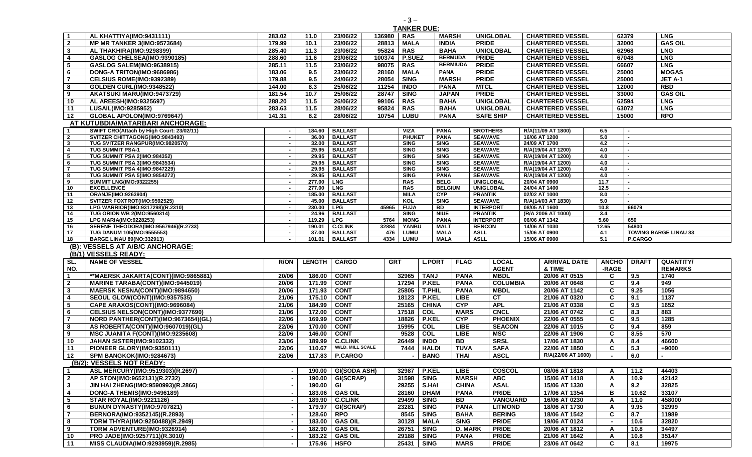| $\overline{1}$                   | AL KHATTIYA(IMO:9431111)                                               | 283.02                                     | 11.0             | 23/06/22                      | 136980     | <b>RAS</b>                                   | <b>MARSH</b>               | <b>UNIGLOBAL</b>                   |               | <b>CHARTERED VESSEL</b>        |              | 62379          | <b>LNG</b>                   |
|----------------------------------|------------------------------------------------------------------------|--------------------------------------------|------------------|-------------------------------|------------|----------------------------------------------|----------------------------|------------------------------------|---------------|--------------------------------|--------------|----------------|------------------------------|
| $\overline{2}$                   | <b>MP MR TANKER 3(IMO:9573684)</b>                                     | 179.99                                     | 10.1             | 23/06/22                      | 28813      | <b>MALA</b>                                  | <b>INDIA</b>               | <b>PRIDE</b>                       |               | <b>CHARTERED VESSEL</b>        |              | 32000          | <b>GAS OIL</b>               |
| $\mathbf{3}$                     | AL THAKHIRA(IMO:9298399)                                               | 285.40                                     | 11.3             | 23/06/22                      | 95824      | <b>RAS</b>                                   | <b>BAHA</b>                | <b>UNIGLOBAL</b>                   |               | <b>CHARTERED VESSEL</b>        |              | 62968          | <b>LNG</b>                   |
| $\overline{4}$                   | GASLOG CHELSEA(IMO:9390185)                                            | 288.60                                     | 11.6             | 23/06/22                      | 100374     | <b>P.SUEZ</b>                                | <b>BERMUDA</b>             | <b>PRIDE</b>                       |               | <b>CHARTERED VESSEL</b>        |              | 67048          | <b>LNG</b>                   |
| 5                                | <b>GASLOG SALEM(IMO:9638915)</b>                                       | 285.11                                     | 11.5             | 23/06/22                      | 98075      | <b>RAS</b>                                   | <b>BERMIUDA</b>            | <b>PRIDE</b>                       |               | <b>CHARTERED VESSEL</b>        |              | 66607          | <b>LNG</b>                   |
| 6                                | DONG-A TRITON(IMO:9686986)                                             | 183.06                                     | 9.5              | 23/06/22                      | 28160      | <b>MALA</b>                                  | <b>PANA</b>                | <b>PRIDE</b>                       |               | <b>CHARTERED VESSEL</b>        |              | 25000          | <b>MOGAS</b>                 |
| $\overline{\mathbf{7}}$          | CELSIUS ROME(IMO:9392389)                                              | 179.88                                     | 9.5              | 24/06/22                      | 28054      | <b>SING</b>                                  | <b>MARSH</b>               | <b>PRIDE</b>                       |               | <b>CHARTERED VESSEL</b>        |              | 25000          | JET A-1                      |
|                                  |                                                                        |                                            |                  |                               |            |                                              |                            |                                    |               | <b>CHARTERED VESSEL</b>        |              |                |                              |
| 8                                | <b>GOLDEN CURL(IMO:9348522)</b>                                        | 144.00                                     | 8.3              | 25/06/22                      | 11254      | <b>INDO</b>                                  | <b>PANA</b>                | <b>MTCL</b>                        |               |                                |              | 12000          | <b>RBD</b>                   |
| 9                                | AKATSUKI MARU(IMO:9473729)                                             | 181.54                                     | 10.7             | 25/06/22                      | 28747      | <b>SING</b>                                  | <b>JAPAN</b>               | <b>PRIDE</b>                       |               | <b>CHARTERED VESSEL</b>        |              | 33000          | <b>GAS OIL</b>               |
| 10                               | <b>AL AREESH(IMO:9325697)</b>                                          | 288.20                                     | 11.5             | 26/06/22                      | 99106      | <b>RAS</b>                                   | <b>BAHA</b>                | <b>UNIGLOBAL</b>                   |               | <b>CHARTERED VESSEL</b>        |              | 62594          | <b>LNG</b>                   |
| 11                               | LUSAIL(IMO:9285952)                                                    | 283.63                                     | 11.5             | 28/06/22                      | 95824      | <b>RAS</b>                                   | <b>BAHA</b>                | <b>UNIGLOBAL</b>                   |               | <b>CHARTERED VESSEL</b>        |              | 63072          | <b>LNG</b>                   |
| 12                               | GLOBAL APOLON(IMO:9769647)                                             | 141.31                                     | 8.2              | 28/06/22                      | 10754      | <b>LUBU</b>                                  | <b>PANA</b>                | <b>SAFE SHIP</b>                   |               | <b>CHARTERED VESSEL</b>        |              | 15000          | <b>RPO</b>                   |
| AT KUTUBDIA/MATARBARI ANCHORAGE: |                                                                        |                                            |                  |                               |            |                                              |                            |                                    |               |                                |              |                |                              |
| $\overline{1}$                   | SWIFT CRO(Attach by High Court: 23/02/11)                              | $\blacksquare$                             |                  | 184.60 BALLAST                |            | <b>VIZA</b>                                  | <b>PANA</b>                | <b>BROTHERS</b>                    |               | R/A(11/09 AT 1800)             | 6.5          |                |                              |
| $\overline{2}$                   | SVITZER CHITTAGONG(IMO:9843493)                                        | $\sim$                                     | 36.00            | <b>BALLAST</b>                |            | <b>PHUKET</b>                                | <b>PANA</b>                | <b>SEAWAVE</b>                     | 16/06 AT 1200 |                                | 5.0          | $\sim$         |                              |
| $\mathbf{3}$                     | TUG SVITZER RANGPUR(IMO:9820570)                                       | $\sim$                                     | 32.00            | <b>BALLAST</b>                |            | <b>SING</b>                                  | <b>SING</b>                | <b>SEAWAVE</b>                     | 24/09 AT 1700 |                                | 4.2          | $\blacksquare$ |                              |
| $\overline{4}$                   | <b>TUG SUMMIT PSA-1</b>                                                | $\sim$                                     |                  | 29.95 BALLAST                 |            | <b>SING</b>                                  | <b>SING</b>                | <b>SEAWAVE</b>                     |               | R/A(19/04 AT 1200)             | 4.0          |                |                              |
| $\overline{\phantom{a}}$         | TUG SUMMIT PSA 2(IMO:984352)                                           | $\sim$                                     |                  | 29.95   BALLAST               |            | <b>SING</b>                                  | <b>SING</b>                | <b>SEAWAVE</b>                     |               | R/A(19/04 AT 1200)             | 4.0          |                |                              |
| 6                                | TUG SUMMIT PSA 3(IMO:9843534)                                          | $\sim$                                     |                  | 29.95   BALLAST               |            | <b>SING</b>                                  | <b>SING</b>                | <b>SEAWAVE</b>                     |               | R/A(19/04 AT 1200)             | 4.0          |                |                              |
| $\overline{7}$                   | <b>TUG SUMMIT PSA 4(IMO:9847229)</b>                                   | $\sim$                                     |                  | 29.95 BALLAST                 |            | <b>SING</b>                                  | <b>SING</b>                | <b>SEAWAVE</b>                     |               | R/A(19/04 AT 1200)             | 4.0          |                |                              |
| $\overline{\mathbf{8}}$          | <b>TUG SUMMIT PSA 5(IMO:9854272)</b>                                   | $\overline{\phantom{a}}$                   |                  | 29.95 BALLAST                 |            | <b>SING</b>                                  | <b>PANA</b>                | <b>SEAWAVE</b>                     |               | R/A(19/04 AT 1200)             | 4.0          |                |                              |
| 9                                | <b>SUMMIT LNG(IMO:9322255)</b>                                         | $\sim$                                     | 277.00   LNG     |                               |            | <b>RAS</b>                                   | <b>BELG</b>                | <b>UNIGLOBAL</b>                   | 20/04 AT 0900 |                                | 11.7         | $\sim$         |                              |
| 10                               | <b>EXCELLENCE</b>                                                      | $\sim$                                     | 277.00 LNG       |                               |            | <b>RAS</b>                                   | <b>BELGIUM</b>             | <b>UNIGLOBAL</b>                   | 24/04 AT 1400 |                                | 12.5         | $\sim$         |                              |
| 11                               | ORANJE(IMO:9263904)                                                    | $\sim$                                     |                  | 185.00 BALLAST                |            | <b>MILA</b>                                  | <b>CYP</b>                 | <b>PRANTIK</b>                     | 02/02 AT 1000 |                                | 8.0          | $\blacksquare$ |                              |
| $\overline{12}$                  | SVITZER FOXTROT(IMO:9592525)                                           | $\sim$                                     | 230.00 LPG       | 45.00   BALLAST               |            | KOL                                          | <b>SING</b>                | <b>SEAWAVE</b>                     |               | R/A(14/03 AT 1830)             | 5.0          |                |                              |
| 13<br>14                         | LPG WARRIOR(IMO:9317298)(R.2310)<br><b>TUG ORION WB 2(IMO:9560314)</b> | $\blacksquare$<br>$\overline{\phantom{a}}$ |                  | 24.96   BALLAST               | 45965      | <b>FUJA</b><br><b>SING</b>                   | <b>BD</b><br><b>NIUE</b>   | <b>INTERPORT</b><br><b>PRANTIK</b> | 08/05 AT 1600 | (R/A 2006 AT 1000)             | 10.8<br>3.4  | 66079          |                              |
| 15                               | <b>LPG MARIA(IMO:9228253)</b>                                          | $\blacksquare$                             | 119.29   LPG     |                               | 5764       | <b>MONG</b>                                  | <b>PANA</b>                | <b>INTERPORT</b>                   | 06/06 AT 1342 |                                | 5.60         | 650            |                              |
| 16                               | SERENE THEODORA(IMO:9567946)(R.2733)                                   | $\sim$                                     | 190.01           | <b>C.CLINK</b>                | 32884      | YANBU                                        | <b>MALT</b>                | <b>BENCON</b>                      | 14/06 AT 1030 |                                | 12.65        | 54800          |                              |
| 17                               | TUG DANUM 105(IMO:955553)                                              | $\sim$                                     | 37.00            | <b>BALLAST</b>                | 476        | LUMU                                         | <b>MALA</b>                | <b>ASLL</b>                        | 15/06 AT 0900 |                                | 4.1          |                | <b>TOWING BARGE LINAU 83</b> |
| 18                               |                                                                        | $\blacksquare$                             |                  |                               | 4334       |                                              |                            | <b>ASLL</b>                        |               |                                |              |                |                              |
|                                  |                                                                        |                                            |                  |                               |            |                                              |                            |                                    |               |                                |              |                |                              |
|                                  | <b>BARGE LINAU 89(NO:332913)</b>                                       |                                            | 101.01           | <b>BALLAST</b>                |            | <b>LUMU</b>                                  | <b>MALA</b>                |                                    | 15/06 AT 0900 |                                | 5.1          | P.CARGO        |                              |
|                                  | (B): VESSELS AT A/B/C ANCHORAGE:                                       |                                            |                  |                               |            |                                              |                            |                                    |               |                                |              |                |                              |
|                                  | (B/1) VESSELS READY:                                                   |                                            |                  |                               |            |                                              |                            |                                    |               |                                |              |                |                              |
| SL.                              | <b>NAME OF VESSEL</b>                                                  | <b>R/ON</b>                                | <b>LENGTH</b>    | <b>CARGO</b>                  | <b>GRT</b> | <b>L.PORT</b>                                | <b>FLAG</b>                | <b>LOCAL</b>                       |               | <b>ARRIVAL DATE</b>            | <b>ANCHO</b> | <b>DRAFT</b>   | <b>QUANTITY/</b>             |
| NO.                              |                                                                        |                                            |                  |                               |            |                                              |                            | <b>AGENT</b>                       |               | & TIME                         | -RAGE        |                | <b>REMARKS</b>               |
| $\overline{\mathbf{1}}$          | **MAERSK JAKARTA(CONT)(IMO:9865881)                                    | 20/06                                      | 186.00           | <b>CONT</b>                   |            | 32965<br><b>TANJ</b>                         | <b>PANA</b>                | <b>MBDL</b>                        |               | 20/06 AT 0515                  | C            | 9.5            | 1740                         |
| $\overline{2}$                   | <b>MARINE TARABA(CONT)(IMO:9445019)</b>                                | 20/06                                      | 171.99           | <b>CONT</b>                   |            | 17294<br><b>P.KEL</b>                        | <b>PANA</b>                | <b>COLUMBIA</b>                    |               | 20/06 AT 0648                  | C            | 9.4            | 949                          |
| $\mathbf{3}$                     | MAERSK NESNA(CONT)(IMO:9894650)                                        | 20/06                                      | 171.93           | <b>CONT</b>                   |            | 25805<br><b>T.PHIL</b>                       | <b>PANA</b>                | <b>MBDL</b>                        |               | 20/06 AT 1142                  | C            | 9.25           | 1056                         |
| $\overline{4}$                   | <b>SEOUL GLOW(CONT)(IMO:9357535)</b>                                   | 21/06                                      | 175.10           | <b>CONT</b>                   |            | P.KEL<br>18123                               | LIBE                       | CT                                 |               | 21/06 AT 0320                  | C            | 9.1            | 1137                         |
| $5\phantom{.0}$                  | CAPE ARAXOS(CONT)(IMO:9696084)                                         | 21/06                                      | 184.99           | <b>CONT</b>                   |            | 25165<br><b>CHINA</b>                        | <b>CYP</b>                 | <b>APL</b>                         |               | 21/06 AT 0338                  | C            | 9.5            | 1652                         |
| 6                                | CELSIUS NELSON(CONT)(IMO:9377690)                                      | 21/06                                      | 172.00           | <b>CONT</b>                   |            | 17518<br>COL                                 | <b>MARS</b>                | <b>CNCL</b>                        |               | 21/06 AT 0742                  | C            | 8.3            | 883                          |
| $\overline{7}$                   |                                                                        | 22/06                                      | 169.99           |                               |            | 18826                                        |                            | <b>PHOENIX</b>                     |               | 22/06 AT 0555                  | C            | 9.5            | 1285                         |
|                                  | NORD PANTHER(CONT)(IMO:9673654)(GL)                                    |                                            |                  | <b>CONT</b>                   |            | <b>P.KEL</b>                                 | <b>CYP</b>                 |                                    |               |                                |              |                |                              |
| 8                                | AS ROBERTA(CONT)(IMO:9607019)(GL)                                      | 22/06                                      | 170.00           | <b>CONT</b>                   |            | COL<br>15995                                 | <b>LIBE</b>                | <b>SEACON</b>                      |               | 22/06 AT 1015                  | C            | 9.4            | 859                          |
| 9                                | MSC JUANITA F(CONT)(IMO:9235608)                                       | 22/06                                      | 146.00           | <b>CONT</b>                   |            | 9528<br>COL                                  | <b>LIBE</b>                | <b>MSC</b>                         |               | 22/06 AT 1906                  | C            | 8.55           | 570                          |
| $\overline{10}$                  | JAHAN SISTER(IMO:9102332)                                              | 23/06                                      | 189.99           | <b>C.CLINK</b>                |            | 26449<br><b>INDO</b>                         | <b>BD</b>                  | <b>SRSL</b>                        |               | 17/06 AT 1830                  | A            | 8.4            | 46600                        |
| 11                               | PIONEER GLORY(IMO:9350111)                                             | 22/06                                      | 110.67           | <b>W/LD. MILL SCALE</b>       |            | 7444<br><b>HALDI</b>                         | <b>TUVA</b>                | <b>SAFA</b>                        |               | 22/06 AT 1850                  | C            | 5.3            | +9000                        |
| 12                               | SPM BANGKOK(IMO:9284673)                                               | 22/06                                      | 117.83           | <b>P.CARGO</b>                |            | <b>BANG</b>                                  | <b>THAI</b>                | <b>ASCL</b>                        |               | R/A(22/06 AT 1600)             | $\sim$       | 6.0            |                              |
|                                  | (B/2): VESSELS NOT READY:                                              |                                            |                  |                               |            |                                              |                            |                                    |               |                                |              |                |                              |
| l 1                              | ASL MERCURY(IMO:9519303)(R.2697)                                       |                                            | 190.00           | <b>GI(SODA ASH)</b>           |            | P.KEL<br>32987                               | <b>LIBE</b>                | COSCOL                             |               | 08/06 AT 1818                  | A            | 11.2           | 44403                        |
| $\overline{\mathbf{2}}$          | AP STON(IMO:9652131)(R.2732)                                           |                                            | 190.00           | GI(SCRAP)                     |            | 31598<br><b>SING</b>                         | <b>MARSH</b>               | <b>ABC</b>                         |               | 15/06 AT 1418                  | A            | 10.9           | 42142                        |
| $\mathbf{3}$                     | JIN HAI ZHENG(IMO:9590993)(R.2866)                                     |                                            | 190.00           | GI                            |            | 29255<br>S.HAI                               | <b>CHINA</b>               | <b>ASAL</b>                        |               | 15/06 AT 1330                  | A            | 9.2            | 32825                        |
| $\overline{4}$                   | DONG-A THEMIS(IMO:9496189)                                             |                                            | 183.06           | <b>GAS OIL</b>                |            | 28160 DHAM                                   | <b>PANA</b>                | <b>PRIDE</b>                       |               | 17/06 AT 1354                  | В            | 10.62          | 33107                        |
| $\sqrt{5}$                       | <b>STAR ROYAL(IMO:9221126)</b>                                         |                                            | 189.90           | <b>C.CLINK</b>                |            | 29499<br><b>SING</b>                         | <b>BD</b>                  | <b>VANGUARD</b>                    |               | 16/06 AT 0230                  | A            | 11.0           | 458000                       |
| 6                                | BUNUN DYNASTY(IMO:9707821)                                             |                                            |                  |                               |            |                                              |                            |                                    |               |                                |              | 9.95           |                              |
|                                  |                                                                        |                                            | 179.97           | GI(SCRAP)                     |            | <b>SING</b><br>23281                         | <b>PANA</b>                | <b>LITMOND</b>                     |               | 18/06 AT 1730                  | A            |                | 32999                        |
| $\overline{7}$                   | BERNORA(IMO:9352145)(R.2893)                                           |                                            | 128.60           | <b>RPO</b>                    |            | 8545 SING                                    | <b>BAHA</b>                | <b>BERING</b>                      |               | 18/06 AT 1542                  | C            | 8.7            | 11989                        |
| 8                                | TORM THYRA(IMO:9250488)(R.2949)                                        |                                            | 183.00           | <b>GAS OIL</b>                |            | 30128 MALA                                   | <b>SING</b>                | <b>PRIDE</b>                       |               | 19/06 AT 0124                  |              | 10.6           | 32820                        |
| 9                                | TORM ADVENTURE(IMO:9326914)                                            |                                            | 182.90           | <b>GAS OIL</b>                |            | <b>SING</b><br>26751                         | <b>D. MARK</b>             | <b>PRIDE</b>                       |               | 20/06 AT 1812                  | A            | 10.8           | 34497                        |
| 10<br>11                         | PRO JADE(IMO:9257711)(R.3010)<br>MISS CLAUDIA(IMO:9293959)(R.2985)     | $\overline{\phantom{a}}$                   | 183.22<br>175.96 | <b>GAS OIL</b><br><b>HSFO</b> |            | 29188<br><b>SING</b><br>25431<br><b>SING</b> | <b>PANA</b><br><b>MARS</b> | <b>PRIDE</b><br><b>PRIDE</b>       |               | 21/06 AT 1642<br>23/06 AT 0642 | Α<br>C       | 10.8<br>8.1    | 35147<br>19975               |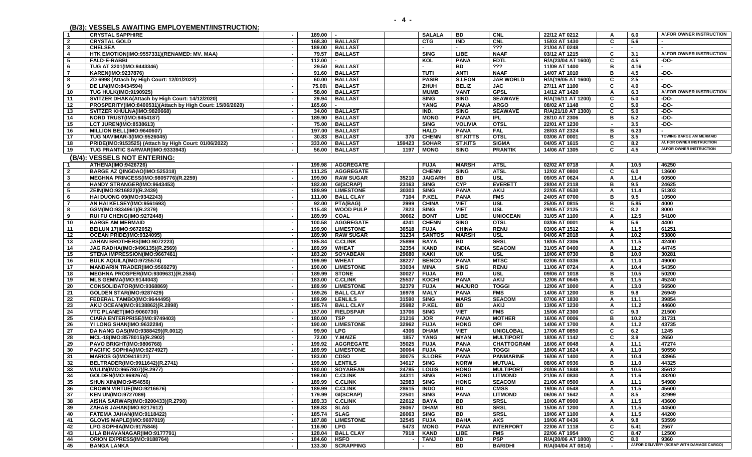**(B/3): VESSELS AWAITING EMPLOYEMENT/INSTRUCTION:** 

A/.FOR OWNER INSTRUCTION

**1 CRYSTAL SAPPHIRE - 189.00 - SALALA BD CNL 22/12 AT 0212 A 6.0 A/.FOR OWNER INSTRUCTION**

**2 CRYSTAL GOLD - 168.30 BALLAST CTG IND CNL 15/03 AT 1430 C 5.6 - 3 CHELSEA - 189.00 BALLAST - - ??? 21/04 AT 0248 - - -** 

**5 FALD-E-RABBI - 112.00 - KOL PANA EDTL R/A(23/04 AT 1600) C 4.5 -DO-**6 |TUG AT 3201(IMO:9443346) | - | 29.50 | BALLAST | | - | BD | ??? | 11/09 AT 1400 | B | 4.16 |-

**4 HTK EMOTION(IMO:9557331)(RENAMED: MV. MAA) - 79.57 BALLAST SING LIBE NAAF 03/12 AT 1215 C 3.1 A/.FOR OWNER INSTRUCTION** 

| - 7                     | <b>KAREN(IMO:9237876)</b>                                                   |        | 91.60 BALLAST    |        | TUTI           | ANTI            | <b>NAAF</b>       | 14/07 AT 1010      | в              | 4.5               | -DO-                           |
|-------------------------|-----------------------------------------------------------------------------|--------|------------------|--------|----------------|-----------------|-------------------|--------------------|----------------|-------------------|--------------------------------|
| - 8                     | ZD 6998 (Attach by High Court: 12/01/2022)<br>$\overline{\phantom{a}}$      | 60.00  | <b>BALLAST</b>   |        | <b>PASIR</b>   | <b>S.LEON</b>   | <b>JAR WORLD</b>  | R/A(19/05 AT 1600) | C.             | 2.5               |                                |
| - 9                     | DE LIN(IMO:8434594)<br>$\sim$                                               | 75.00\ | <b>BALLAST</b>   |        | ZHUH           | <b>BELIZ</b>    | <b>JAC</b>        | 27/11 AT 1100      | C.             | 4.0               | $-DO-$                         |
| 10                      | <b>TUG HULK(IMO:9190925)</b>                                                | 58.00  | <b>BALLAST</b>   |        | <b>MUMB</b>    | <b>VANT</b>     | <b>GPSL</b>       | 14/12 AT 1420      | A              | 6.3               | A/.FOR OWNER INSTRUCTION       |
| 11                      | SVITZER DHAKA(Attach by High Court: 14/12/2020)<br>$\overline{\phantom{a}}$ | 29.94  | <b>BALLAST</b>   |        | <b>SING</b>    | <b>SING</b>     | <b>SEAWAVE</b>    | R/A(16/11 AT 1200) | C              | 5.0               | $-DO-$                         |
| 12                      | PROSPERITY(IMO:8400531)(Attach by High Court: 15/06/2020)<br>$\sim$         | 165.60 |                  |        | <b>YANG</b>    | <b>PANA</b>     | <b>ARGO</b>       | 08/02 AT 1148      | C              | 5.0               | $-DO-$                         |
| 13                      | SVITZER KHULNA(IMO:9820668)<br>$\blacksquare$                               | 34.00  | <b>BALLAST</b>   |        | IND.           | <b>SING</b>     | <b>SEAWAVE</b>    | R/A(21/10 AT 1300) | C              | 5.0               | $-DO-$                         |
| 14                      | NORD TRUST(IMO:9454187)                                                     | 189.90 | <b>BALLAST</b>   |        | <b>MONG</b>    | <b>PANA</b>     | <b>IPL</b>        | 28/10 AT 2306      | в              | 5.2               | $-DO-$                         |
| 15                      | <b>LCT JUREN(IMO:8538613)</b><br>$\sim$                                     | 75.00  | <b>BALLAST</b>   |        | <b>SING</b>    | <b>VOLIVIA</b>  | <b>OTSL</b>       | 22/01 AT 1230      | $\overline{a}$ | 3.5               | $-DO-$                         |
| 16                      | MILLION BELL(IMO:9640607)<br>$\sim$                                         | 197.00 | <b>BALLAST</b>   |        | <b>HALD</b>    | <b>PANA</b>     | <b>FAL</b>        | 28/03 AT 2324      | в              | 6.23              |                                |
| 17                      | <b>TUG NAVIMAR-3(IMO:9526045)</b><br>٠.                                     | 30.83  | <b>BALLAST</b>   | 370    | <b>CHENN</b>   | <b>ST.KITTS</b> | <b>OTSL</b>       | 03/06 AT 0001      | в              | 3.5               | <b>TOWING BARGE AM MERMAID</b> |
| 18                      | PRIDE(IMO:9153525) (Attach by High Court: 01/06/2022)<br>$\sim$             | 333.00 | <b>BALLAST</b>   | 159423 | <b>SOHAR</b>   | <b>ST.KITS</b>  | <b>SIGMA</b>      | 04/05 AT 1615      | C              | 8.2               | A/. FOR OWNER INSTRUCTION      |
| 19                      | TUG PRANTIC SARWAR(IMO:9333943)<br>$\overline{\phantom{a}}$                 | 56.00  | <b>BALLAST</b>   | 1197   | <b>MONG</b>    | <b>SING</b>     | <b>PRANTIK</b>    | 14/06 AT 1305      | C              | 4.5               | A/.FOR OWNER INSTRUCTION       |
|                         | (B/4): VESSELS NOT ENTERING:                                                |        |                  |        |                |                 |                   |                    |                |                   |                                |
| $\mathbf 1$             | ATHENA(IMO:9426726)<br>$\overline{\phantom{a}}$                             | 199.98 | <b>AGGREGATE</b> |        | <b>FUJA</b>    | <b>MARSH</b>    | <b>ATSL</b>       | 02/02 AT 0718      | A              | 10.5              | 46250                          |
| $\overline{2}$          | BARGE AZ QINGDAO(IMO:525318)<br>$\overline{\phantom{a}}$                    | 111.25 | <b>AGGREGATE</b> |        | <b>CHENN</b>   | <b>SING</b>     | <b>ATSL</b>       | 12/02 AT 0800      | C              | 6.0               | 13600                          |
| $\mathbf{3}$            | <b>MEGHNA PRINCESS(IMO:9805776)(R.2259)</b><br>$\sim$                       | 199.90 | <b>RAW SUGAR</b> | 35210  | <b>JAIGARH</b> | <b>BD</b>       | <b>USL</b>        | 09/05 AT 0624      | A              | 11.4              | 60500                          |
| $\overline{\mathbf{4}}$ | HANDY STRANGER(IMO:9643453)<br>$\overline{\phantom{a}}$                     | 182.00 | GI(SCRAP)        | 23163  | <b>SING</b>    | <b>CYP</b>      | <b>EVERETT</b>    | 28/04 AT 2118      | в              | 9.5               | 24625                          |
| -5                      | ZEIN(IMO:9216822)(R.2439)<br>$\sim$                                         | 189.99 | <b>LIMESTONE</b> | 30303  | <b>SING</b>    | <b>PANA</b>     | <b>AKIJ</b>       | 22/05 AT 0530      | A              | 11.4              | 51303                          |
| - 6                     | HAI DUONG 09(IMO:9342243)                                                   | 111.00 | <b>BALL CLAY</b> | 7104   | <b>P.KEL</b>   | PANA            | <b>FMS</b>        | 24/05 AT 0700      | B              | 9.5               | 10500                          |
| $\overline{7}$          | AN HAI KELSEY(IMO:9561693)<br>$\overline{\phantom{a}}$                      | 92.00  | PTA(BAG)         | 2999   | <b>CHINA</b>   | <b>VIET</b>     | <b>USL</b>        | 25/05 AT 0815      | в              | 5.85              | 4000                           |
| -8                      | GSM(IMO:9334961)(R.2379)<br>$\overline{\phantom{a}}$                        | 115.48 | <b>WOOD PULP</b> | 7823   | <b>SING</b>    | <b>VIET</b>     | <b>USL</b>        | 29/05 AT 2125      | C              | 8.2               | 8000                           |
| -9                      | RUI FU CHENG(IMO:9272448)                                                   | 189.99 | <b>COAL</b>      | 30662  | <b>BONT</b>    | <b>LIBE</b>     | <b>UNIOCEAN</b>   | 31/05 AT 1100      | A              | $\overline{12.5}$ | 54100                          |
| 10                      | <b>BARGE AM MERMAID</b><br>$\overline{\phantom{a}}$                         | 100.58 | <b>AGGREGATE</b> | 4241   | <b>CHENN</b>   | <b>SING</b>     | <b>OTSL</b>       | 03/06 AT 0001      | в              | 5.6               | 4400                           |
| 11                      | BEILUN 17(IMO:9672052)<br>$\sim$                                            | 199.90 | <b>LIMESTONE</b> | 36518  | <b>FUJA</b>    | <b>CHINA</b>    | <b>RENU</b>       | 03/06 AT 1512      | $\mathsf{A}$   | 11.5              | 61251                          |
| 12                      | OCEAN PRIDE(IMO:9324095)<br>$\overline{\phantom{a}}$                        | 189.90 | <b>RAW SUGAR</b> | 31234  | <b>SANTOS</b>  | <b>MARSH</b>    | <b>USL</b>        | 04/06 AT 2018      | A              | 10.2              | 53800                          |
| 13                      | JAHAN BROTHERS(IMO:9072223)<br>$\blacksquare$                               | 185.84 | <b>C.CLINK</b>   | 25899  | <b>BAYA</b>    | <b>BD</b>       | <b>SRSL</b>       | 18/05 AT 2306      | A              | 11.5              | 42400                          |
| 14                      | JAG RADHA(IMO:9496135)(R.2569)<br>$\sim$                                    | 189.99 | <b>WHEAT</b>     | 32354  | <b>KAND</b>    | <b>INDIA</b>    | <b>SEACOM</b>     | 31/05 AT 0400      | $\mathsf{A}$   | 11.2              | 44745                          |
| 15                      | STENA IMPRESSION(IMO:9667461)                                               | 183.20 | <b>SOYABEAN</b>  | 29680  | <b>KAKI</b>    | UK              | <b>USL</b>        | 10/06 AT 0730      | B              | 10.0              | 30281                          |
|                         | $\sim$<br>$\sim$                                                            | 199.99 | <b>WHEAT</b>     | 38227  |                | <b>PANA</b>     | <b>MTSC</b>       |                    |                | 11.0              | 49000                          |
| 16                      | BULK AQUILA(IMO:9725574)<br>$\overline{\phantom{a}}$                        | 190.00 |                  |        | <b>BENCO</b>   |                 | <b>RENU</b>       | 02/06 AT 0336      | A              |                   |                                |
| -17                     | <b>MANDARIN TRADER(IMO:9569279)</b>                                         |        | <b>LIMESTONE</b> | 33034  | <b>MINA</b>    | <b>SING</b>     |                   | 11/06 AT 0724      | $\mathbf{A}$   | 10.4              | 54350                          |
| 18                      | <b>MEGHNA PROSPER(IMO:9309631)(R.2584)</b><br>$\sim$                        | 189.99 | <b>STONE</b>     | 30027  | <b>FUJA</b>    | <b>BD</b>       | <b>USL</b>        | 09/06 AT 1018      | B              | 10.5              | 50200                          |
| 19                      | <b>MLS GEMMA(IMO:9144043)</b><br>$\overline{\phantom{a}}$                   | 183.00 | <b>C.CLINK</b>   | 25537  | KOCHI          | <b>PANA</b>     | <b>AKIJ</b>       | 12/06 AT 0645      | A              | 11.5              | 45240                          |
| 20                      | CONSOLIDATOR(IMO:9368869)                                                   | 189.99 | <b>LIMESTONE</b> | 32379  | <b>FUJA</b>    | <b>MAJURO</b>   | <b>TOGGI</b>      | 12/06 AT 1000      | A              | 13.0              | 56500                          |
| - 21                    | GOLDEN STAR(IMO:9287429)<br>$\overline{\phantom{a}}$                        | 169.26 | <b>BALL CLAY</b> | 16978  | <b>MALY</b>    | PANA            | <b>FMS</b>        | 14/06 AT 1200      | в              | 9.8               | 26949                          |
| 22                      | FEDERAL TAMBO(IMO:9644495)<br>$\sim$                                        | 189.99 | <b>LENLILS</b>   | 31590  | <b>SING</b>    | <b>MARS</b>     | <b>SEACOM</b>     | 07/06 AT 1830      | A              | 11.1              | 39854                          |
| 23                      | AKIJ OCEAN(IMO:9138862)(R.2898)<br>$\overline{\phantom{a}}$                 | 185.74 | <b>BALL CLAY</b> | 25982  | <b>P.KEL</b>   | BD              | <b>AKIJ</b>       | 13/06 AT 1230      | A              | 11.2              | 44600                          |
| 24                      | <b>VTC PLANET(IMO:9060730)</b><br>$\overline{\phantom{a}}$                  | 157.00 | <b>FIELDSPAR</b> | 13706  | <b>SING</b>    | <b>VIET</b>     | <b>FMS</b>        | 15/06 AT 2300      | C              | 9.3               | 21500                          |
| 25                      | CIARA ENTERPRISE(IM0:9749403)<br>$\sim$                                     | 180.00 | <b>TSP</b>       | 21216  | <b>JOR</b>     | <b>PANA</b>     | <b>MOTHER</b>     | 16/06 AT 0006      | в              | 10.2              | 31731                          |
| 26                      | YI LONG SHAN(IMO:9632284)<br>$\overline{\phantom{a}}$                       | 190.00 | <b>LIMESTONE</b> | 32962  | <b>FUJA</b>    | <b>HONG</b>     | OPI               | 14/06 AT 1700      | A              | 11.2              | 43735                          |
| 27                      | DA NANG GAS(IMO:9388429)(R.0012)<br>$\overline{\phantom{a}}$                | 99.90  | <b>LPG</b>       | 4306   | <b>DHAM</b>    | <b>VIET</b>     | <b>UNIGLOBAL</b>  | 17/06 AT 0850      | C              | 6.2               | 1245                           |
| 28                      | MCL-18(IMO:8578015)(R.2902)<br>$\overline{\phantom{a}}$                     | 72.00  | Y.MAIZE          | 1857   | YANG           | <b>MYAN</b>     | <b>MULTIPORT</b>  | 18/06 AT 1142      | C              | 3.9               | 2650                           |
| 29                      | <b>PAVO BRIGHT(IMO:9806768)</b><br>$\sim$                                   | 199.92 | <b>AGGREGATE</b> | 35025  | <b>FUJA</b>    | <b>PANA</b>     | <b>CHATTOGRAM</b> | 16/06 AT 0048      | Α              | 11.1              | 47274                          |
| 30                      | PACIFIC SOPHIA(IMO:9274927)<br>$\blacksquare$                               | 189.99 | <b>LIMESTONE</b> | 30064  | <b>FUJA</b>    | <b>PANA</b>     | <b>TOGGI</b>      | 18/06 AT 1624      | A              | 11.0              | 50550                          |
| 31                      | <b>MARIOS G(IMO9418121)</b><br>$\overline{\phantom{a}}$                     | 183.00 | <b>CDSO</b>      | 30075  | <b>S.LORE</b>  | <b>PANA</b>     | <b>PANMARINE</b>  | 16/06 AT 1400      | $\mathbf{A}$   | 10.4              | 43965                          |
| -32                     | BELTRADER(IMO:9911642)(R.2741)<br>$\sim$                                    | 199.90 | <b>LENTILS</b>   | 34617  | <b>SING</b>    | <b>NORW</b>     | <b>MUTUAL</b>     | 08/06 AT 0936      | в              | 11.0              | 44325                          |
| 33                      | WULIN(IMO:9657807)(R.2977)<br>$\sim$                                        | 180.00 | <b>SOYABEAN</b>  | 24785  | <b>LOUIS</b>   | <b>HONG</b>     | <b>MULTIPORT</b>  | 20/06 AT 1848      | A              | 10.5              | 35612                          |
| -34                     | GOLDEN(IMO:9692674)<br>$\overline{\phantom{a}}$                             | 198.00 | <b>C.CLINK</b>   | 34311  | <b>SING</b>    | <b>HONG</b>     | <b>LITMOND</b>    | 21/06 AT 0830      | A              | 11.6              | 48200                          |
| -35                     | <b>SHUN XIN(IMO:9454656)</b><br>$\overline{\phantom{a}}$                    | 189.99 | <b>C.CLINK</b>   | 32983  | <b>SING</b>    | <b>HONG</b>     | <b>SEACOM</b>     | 21/06 AT 0500      | $\mathbf{A}$   | 11.1              | 54980                          |
| 36                      | CROWN VIRTUE(IMO:9216676)<br>$\sim$                                         | 189.99 | <b>C.CLINK</b>   | 28615  | <b>INDO</b>    | <b>BD</b>       | <b>CMSS</b>       | 19/06 AT 0548      | $\mathbf{A}$   | 11.5              | 45600                          |
| 37                      | <b>KEN UN(IMO:9727089)</b><br>$\overline{\phantom{a}}$                      | 179.99 | GI(SCRAP)        | 22501  | <b>SING</b>    | <b>PANA</b>     | <b>LITMOND</b>    | 06/06 AT 1642      | A              | 8.5               | 32999                          |
| 38                      | AISHA SARWAR(IMO:9200433)(R.2790)                                           | 189.33 | <b>C.CLINK</b>   | 22612  | <b>BAYA</b>    | <b>BD</b>       | <b>SRSL</b>       | 10/06 AT 0900      | A              | 11.5              | 43600                          |
| 39                      | ZAHAB JAHAN(IMO:9217612)                                                    | 189.83 | <b>SLAG</b>      | 26067  | <b>DHAM</b>    | BD              | <b>SRSL</b>       | 15/06 AT 1200      | $\mathbf{A}$   | 11.5              | 44500                          |
| 40                      | FATEMA JAHAN(IMO:9118422)                                                   | 185.74 | <b>SLAG</b>      | 26063  | <b>SING</b>    | <b>BD</b>       | <b>SRSL</b>       | 19/06 AT 1100      | A              | 11.5              | 44200                          |
| 41                      | GLOVIS MAPLE(IMO:9607019)                                                   |        | 187.88 LIMESTONE | 32545  | <b>FUJA</b>    | <b>BAHA</b>     | <b>AKS</b>        | 19/06 AT 0436      | A              | 9.8               | 53599                          |

**41 GLOVIS MAPLE(IMO:9607019) - 187.88 LIMESTONE 32545 FUJA BAHA AKS 19/06 AT 0436 A 9.8 53599 42 LPG SOPHIA(IMO:9175846) - 116.90 LPG 5473 MONG PANA INTERPORT 22/06 AT 1118 C 5.41 2567 43 LILA BHAVANAGAR(IMO:9177791) - 128.04 BALL CLAY 7918 KAND LIBE FMS 22/06 AT 1954 C 8.47 12500** 

**44 ORION EXPRESS(IMO:9188764) - 184.60 HSFO - TANJ BD PSP R/A(20/06 AT 1800) C 8.0 9360 45 BANGA LANKA - 133.30 SCRAPPING - BD BARIDHI R/A(04/04 AT 0814) - A/.FOR DELIVERY (SCRAP WITH DAMAGE CARGO)**